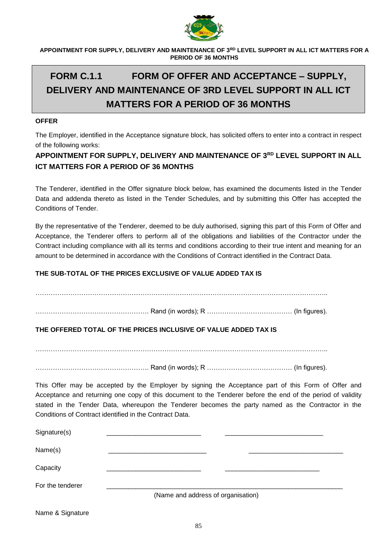

# **FORM C.1.1 FORM OF OFFER AND ACCEPTANCE – SUPPLY, DELIVERY AND MAINTENANCE OF 3RD LEVEL SUPPORT IN ALL ICT MATTERS FOR A PERIOD OF 36 MONTHS**

### **OFFER**

The Employer, identified in the Acceptance signature block, has solicited offers to enter into a contract in respect of the following works:

# **APPOINTMENT FOR SUPPLY, DELIVERY AND MAINTENANCE OF 3RD LEVEL SUPPORT IN ALL ICT MATTERS FOR A PERIOD OF 36 MONTHS**

The Tenderer, identified in the Offer signature block below, has examined the documents listed in the Tender Data and addenda thereto as listed in the Tender Schedules, and by submitting this Offer has accepted the Conditions of Tender.

By the representative of the Tenderer, deemed to be duly authorised, signing this part of this Form of Offer and Acceptance, the Tenderer offers to perform all of the obligations and liabilities of the Contractor under the Contract including compliance with all its terms and conditions according to their true intent and meaning for an amount to be determined in accordance with the Conditions of Contract identified in the Contract Data.

# **THE SUB-TOTAL OF THE PRICES EXCLUSIVE OF VALUE ADDED TAX IS**

. The contract of the contract of the contract of the contract of the contract of the contract of the contract of the contract of the contract of the contract of the contract of the contract of the contract of the contrac

……………………………………………. Rand (in words); R ………………………………… (In figures).

# **THE OFFERED TOTAL OF THE PRICES INCLUSIVE OF VALUE ADDED TAX IS**

……………………………………………………………………………………………………………………..

……………………………………………. Rand (in words); R ………………………………… (In figures).

This Offer may be accepted by the Employer by signing the Acceptance part of this Form of Offer and Acceptance and returning one copy of this document to the Tenderer before the end of the period of validity stated in the Tender Data, whereupon the Tenderer becomes the party named as the Contractor in the Conditions of Contract identified in the Contract Data.

| Signature(s)                       |  |  |  |  |
|------------------------------------|--|--|--|--|
| Name(s)                            |  |  |  |  |
| Capacity                           |  |  |  |  |
| For the tenderer                   |  |  |  |  |
| (Name and address of organisation) |  |  |  |  |

Name & Signature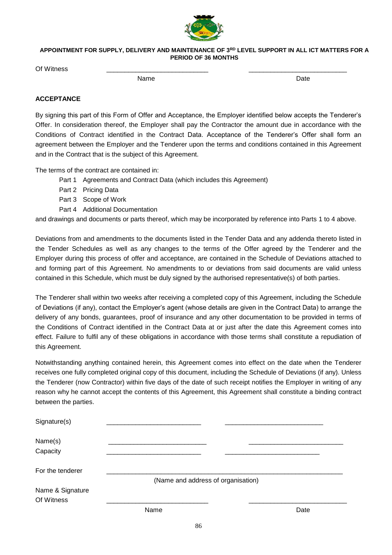

Of Witness \_\_\_\_\_\_\_\_\_\_\_\_\_\_\_\_\_\_\_\_\_\_\_\_\_\_\_\_ \_\_\_\_\_\_\_\_\_\_\_\_\_\_\_\_\_\_\_\_\_\_\_\_\_\_\_

name and the Date of the Date of the Date of the Date of the Date of the Date of the Date of the Date of the D

# **ACCEPTANCE**

By signing this part of this Form of Offer and Acceptance, the Employer identified below accepts the Tenderer's Offer. In consideration thereof, the Employer shall pay the Contractor the amount due in accordance with the Conditions of Contract identified in the Contract Data. Acceptance of the Tenderer's Offer shall form an agreement between the Employer and the Tenderer upon the terms and conditions contained in this Agreement and in the Contract that is the subject of this Agreement.

The terms of the contract are contained in:

- Part 1 Agreements and Contract Data (which includes this Agreement)
- Part 2 Pricing Data
- Part 3 Scope of Work
- Part 4 Additional Documentation

and drawings and documents or parts thereof, which may be incorporated by reference into Parts 1 to 4 above.

Deviations from and amendments to the documents listed in the Tender Data and any addenda thereto listed in the Tender Schedules as well as any changes to the terms of the Offer agreed by the Tenderer and the Employer during this process of offer and acceptance, are contained in the Schedule of Deviations attached to and forming part of this Agreement. No amendments to or deviations from said documents are valid unless contained in this Schedule, which must be duly signed by the authorised representative(s) of both parties.

The Tenderer shall within two weeks after receiving a completed copy of this Agreement, including the Schedule of Deviations (if any), contact the Employer's agent (whose details are given in the Contract Data) to arrange the delivery of any bonds, guarantees, proof of insurance and any other documentation to be provided in terms of the Conditions of Contract identified in the Contract Data at or just after the date this Agreement comes into effect. Failure to fulfil any of these obligations in accordance with those terms shall constitute a repudiation of this Agreement.

Notwithstanding anything contained herein, this Agreement comes into effect on the date when the Tenderer receives one fully completed original copy of this document, including the Schedule of Deviations (if any). Unless the Tenderer (now Contractor) within five days of the date of such receipt notifies the Employer in writing of any reason why he cannot accept the contents of this Agreement, this Agreement shall constitute a binding contract between the parties.

| Signature(s)                   |      |                                    |
|--------------------------------|------|------------------------------------|
| Name(s)<br>Capacity            |      |                                    |
| For the tenderer               |      | (Name and address of organisation) |
| Name & Signature<br>Of Witness |      |                                    |
|                                | Name | Date                               |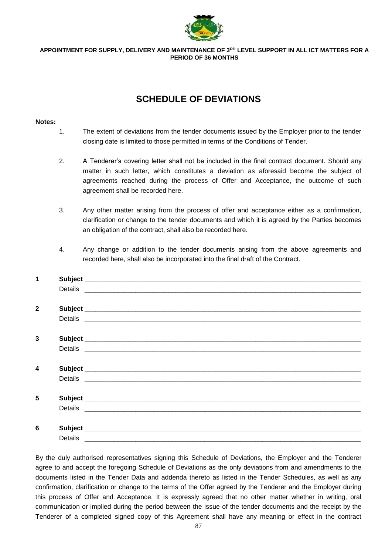

# **SCHEDULE OF DEVIATIONS**

#### **Notes:**

- 1. The extent of deviations from the tender documents issued by the Employer prior to the tender closing date is limited to those permitted in terms of the Conditions of Tender.
- 2. A Tenderer's covering letter shall not be included in the final contract document. Should any matter in such letter, which constitutes a deviation as aforesaid become the subject of agreements reached during the process of Offer and Acceptance, the outcome of such agreement shall be recorded here.
- 3. Any other matter arising from the process of offer and acceptance either as a confirmation, clarification or change to the tender documents and which it is agreed by the Parties becomes an obligation of the contract, shall also be recorded here.
- 4. Any change or addition to the tender documents arising from the above agreements and recorded here, shall also be incorporated into the final draft of the Contract.

| $\mathbf{2}$<br>3                                                                                                                                                                                                              |  |
|--------------------------------------------------------------------------------------------------------------------------------------------------------------------------------------------------------------------------------|--|
|                                                                                                                                                                                                                                |  |
|                                                                                                                                                                                                                                |  |
|                                                                                                                                                                                                                                |  |
|                                                                                                                                                                                                                                |  |
|                                                                                                                                                                                                                                |  |
|                                                                                                                                                                                                                                |  |
|                                                                                                                                                                                                                                |  |
| Details experience and the contract of the contract of the contract of the contract of the contract of the contract of the contract of the contract of the contract of the contract of the contract of the contract of the con |  |
|                                                                                                                                                                                                                                |  |
| $\overline{\mathbf{4}}$                                                                                                                                                                                                        |  |
|                                                                                                                                                                                                                                |  |
|                                                                                                                                                                                                                                |  |
| 5                                                                                                                                                                                                                              |  |
|                                                                                                                                                                                                                                |  |
|                                                                                                                                                                                                                                |  |
| 6                                                                                                                                                                                                                              |  |
|                                                                                                                                                                                                                                |  |

By the duly authorised representatives signing this Schedule of Deviations, the Employer and the Tenderer agree to and accept the foregoing Schedule of Deviations as the only deviations from and amendments to the documents listed in the Tender Data and addenda thereto as listed in the Tender Schedules, as well as any confirmation, clarification or change to the terms of the Offer agreed by the Tenderer and the Employer during this process of Offer and Acceptance. It is expressly agreed that no other matter whether in writing, oral communication or implied during the period between the issue of the tender documents and the receipt by the Tenderer of a completed signed copy of this Agreement shall have any meaning or effect in the contract